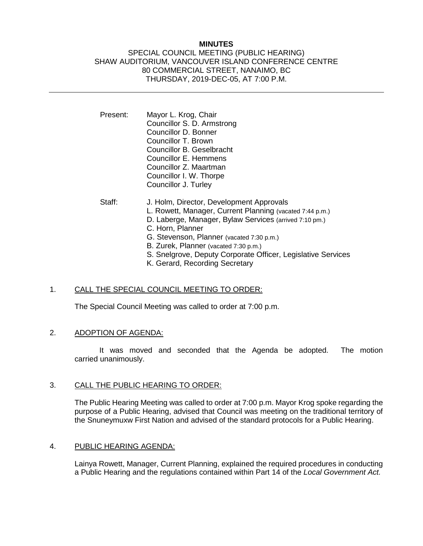# **MINUTES**

### SPECIAL COUNCIL MEETING (PUBLIC HEARING) SHAW AUDITORIUM, VANCOUVER ISLAND CONFERENCE CENTRE 80 COMMERCIAL STREET, NANAIMO, BC THURSDAY, 2019-DEC-05, AT 7:00 P.M.

- Present: Mayor L. Krog, Chair Councillor S. D. Armstrong Councillor D. Bonner Councillor T. Brown Councillor B. Geselbracht Councillor E. Hemmens Councillor Z. Maartman Councillor I. W. Thorpe Councillor J. Turley
- Staff: J. Holm, Director, Development Approvals L. Rowett, Manager, Current Planning (vacated 7:44 p.m.) D. Laberge, Manager, Bylaw Services (arrived 7:10 pm.) C. Horn, Planner G. Stevenson, Planner (vacated 7:30 p.m.) B. Zurek, Planner (vacated 7:30 p.m.) S. Snelgrove, Deputy Corporate Officer, Legislative Services K. Gerard, Recording Secretary

# 1. CALL THE SPECIAL COUNCIL MEETING TO ORDER:

The Special Council Meeting was called to order at 7:00 p.m.

# 2. ADOPTION OF AGENDA:

It was moved and seconded that the Agenda be adopted. The motion carried unanimously.

#### 3. CALL THE PUBLIC HEARING TO ORDER:

The Public Hearing Meeting was called to order at 7:00 p.m. Mayor Krog spoke regarding the purpose of a Public Hearing, advised that Council was meeting on the traditional territory of the Snuneymuxw First Nation and advised of the standard protocols for a Public Hearing.

# 4. PUBLIC HEARING AGENDA:

Lainya Rowett, Manager, Current Planning, explained the required procedures in conducting a Public Hearing and the regulations contained within Part 14 of the *Local Government Act.*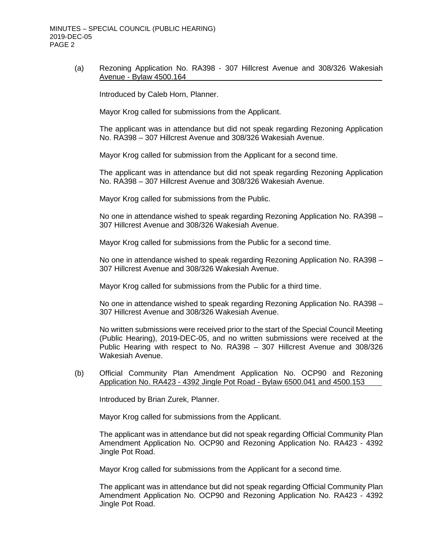(a) Rezoning Application No. RA398 - 307 Hillcrest Avenue and 308/326 Wakesiah Avenue - Bylaw 4500.164

Introduced by Caleb Horn, Planner.

Mayor Krog called for submissions from the Applicant.

The applicant was in attendance but did not speak regarding Rezoning Application No. RA398 – 307 Hillcrest Avenue and 308/326 Wakesiah Avenue.

Mayor Krog called for submission from the Applicant for a second time.

The applicant was in attendance but did not speak regarding Rezoning Application No. RA398 – 307 Hillcrest Avenue and 308/326 Wakesiah Avenue.

Mayor Krog called for submissions from the Public.

No one in attendance wished to speak regarding Rezoning Application No. RA398 – 307 Hillcrest Avenue and 308/326 Wakesiah Avenue.

Mayor Krog called for submissions from the Public for a second time.

No one in attendance wished to speak regarding Rezoning Application No. RA398 – 307 Hillcrest Avenue and 308/326 Wakesiah Avenue.

Mayor Krog called for submissions from the Public for a third time.

No one in attendance wished to speak regarding Rezoning Application No. RA398 – 307 Hillcrest Avenue and 308/326 Wakesiah Avenue.

No written submissions were received prior to the start of the Special Council Meeting (Public Hearing), 2019-DEC-05, and no written submissions were received at the Public Hearing with respect to No. RA398 – 307 Hillcrest Avenue and 308/326 Wakesiah Avenue.

(b) Official Community Plan Amendment Application No. OCP90 and Rezoning Application No. RA423 - 4392 Jingle Pot Road - Bylaw 6500.041 and 4500.153

Introduced by Brian Zurek, Planner.

Mayor Krog called for submissions from the Applicant.

The applicant was in attendance but did not speak regarding Official Community Plan Amendment Application No. OCP90 and Rezoning Application No. RA423 - 4392 Jingle Pot Road.

Mayor Krog called for submissions from the Applicant for a second time.

The applicant was in attendance but did not speak regarding Official Community Plan Amendment Application No. OCP90 and Rezoning Application No. RA423 - 4392 Jingle Pot Road.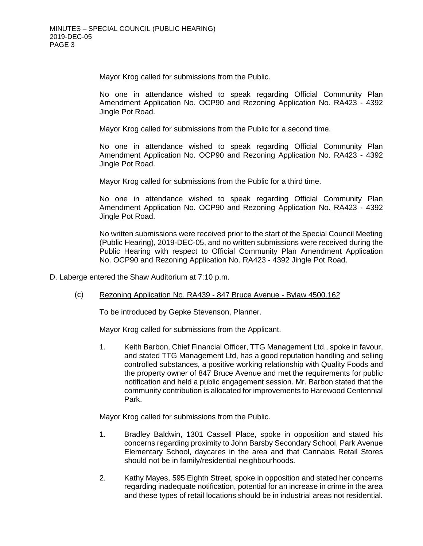Mayor Krog called for submissions from the Public.

No one in attendance wished to speak regarding Official Community Plan Amendment Application No. OCP90 and Rezoning Application No. RA423 - 4392 Jingle Pot Road.

Mayor Krog called for submissions from the Public for a second time.

No one in attendance wished to speak regarding Official Community Plan Amendment Application No. OCP90 and Rezoning Application No. RA423 - 4392 Jingle Pot Road.

Mayor Krog called for submissions from the Public for a third time.

No one in attendance wished to speak regarding Official Community Plan Amendment Application No. OCP90 and Rezoning Application No. RA423 - 4392 Jingle Pot Road.

No written submissions were received prior to the start of the Special Council Meeting (Public Hearing), 2019-DEC-05, and no written submissions were received during the Public Hearing with respect to Official Community Plan Amendment Application No. OCP90 and Rezoning Application No. RA423 - 4392 Jingle Pot Road.

D. Laberge entered the Shaw Auditorium at 7:10 p.m.

(c) Rezoning Application No. RA439 - 847 Bruce Avenue - Bylaw 4500.162

To be introduced by Gepke Stevenson, Planner.

Mayor Krog called for submissions from the Applicant.

1. Keith Barbon, Chief Financial Officer, TTG Management Ltd., spoke in favour, and stated TTG Management Ltd, has a good reputation handling and selling controlled substances, a positive working relationship with Quality Foods and the property owner of 847 Bruce Avenue and met the requirements for public notification and held a public engagement session. Mr. Barbon stated that the community contribution is allocated for improvements to Harewood Centennial Park.

Mayor Krog called for submissions from the Public.

- 1. Bradley Baldwin, 1301 Cassell Place, spoke in opposition and stated his concerns regarding proximity to John Barsby Secondary School, Park Avenue Elementary School, daycares in the area and that Cannabis Retail Stores should not be in family/residential neighbourhoods.
- 2. Kathy Mayes, 595 Eighth Street, spoke in opposition and stated her concerns regarding inadequate notification, potential for an increase in crime in the area and these types of retail locations should be in industrial areas not residential.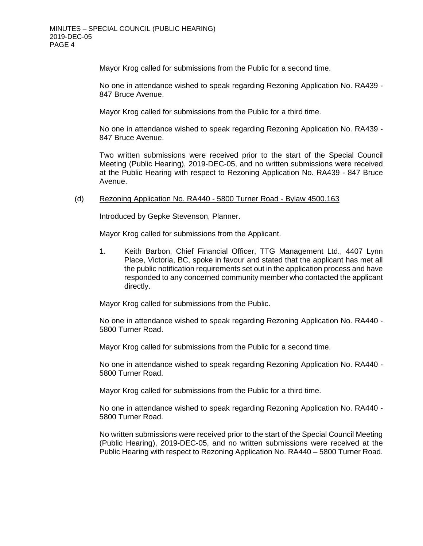Mayor Krog called for submissions from the Public for a second time.

No one in attendance wished to speak regarding Rezoning Application No. RA439 - 847 Bruce Avenue.

Mayor Krog called for submissions from the Public for a third time.

No one in attendance wished to speak regarding Rezoning Application No. RA439 - 847 Bruce Avenue.

Two written submissions were received prior to the start of the Special Council Meeting (Public Hearing), 2019-DEC-05, and no written submissions were received at the Public Hearing with respect to Rezoning Application No. RA439 - 847 Bruce Avenue.

### (d) Rezoning Application No. RA440 - 5800 Turner Road - Bylaw 4500.163

Introduced by Gepke Stevenson, Planner.

Mayor Krog called for submissions from the Applicant.

1. Keith Barbon, Chief Financial Officer, TTG Management Ltd., 4407 Lynn Place, Victoria, BC, spoke in favour and stated that the applicant has met all the public notification requirements set out in the application process and have responded to any concerned community member who contacted the applicant directly.

Mayor Krog called for submissions from the Public.

No one in attendance wished to speak regarding Rezoning Application No. RA440 - 5800 Turner Road.

Mayor Krog called for submissions from the Public for a second time.

No one in attendance wished to speak regarding Rezoning Application No. RA440 - 5800 Turner Road.

Mayor Krog called for submissions from the Public for a third time.

No one in attendance wished to speak regarding Rezoning Application No. RA440 - 5800 Turner Road.

No written submissions were received prior to the start of the Special Council Meeting (Public Hearing), 2019-DEC-05, and no written submissions were received at the Public Hearing with respect to Rezoning Application No. RA440 – 5800 Turner Road.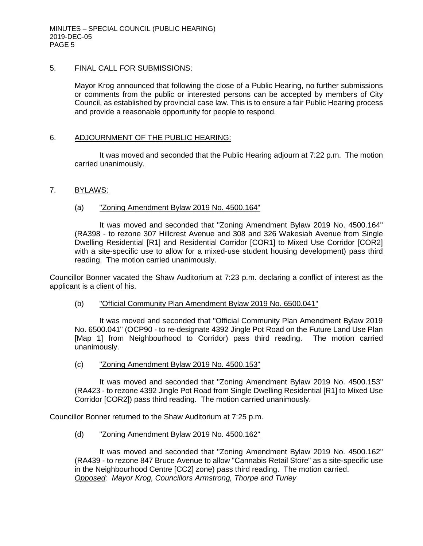# 5. FINAL CALL FOR SUBMISSIONS:

Mayor Krog announced that following the close of a Public Hearing, no further submissions or comments from the public or interested persons can be accepted by members of City Council, as established by provincial case law. This is to ensure a fair Public Hearing process and provide a reasonable opportunity for people to respond.

# 6. ADJOURNMENT OF THE PUBLIC HEARING:

It was moved and seconded that the Public Hearing adjourn at 7:22 p.m. The motion carried unanimously.

### 7. BYLAWS:

### (a) "Zoning Amendment Bylaw 2019 No. 4500.164"

It was moved and seconded that "Zoning Amendment Bylaw 2019 No. 4500.164" (RA398 - to rezone 307 Hillcrest Avenue and 308 and 326 Wakesiah Avenue from Single Dwelling Residential [R1] and Residential Corridor [COR1] to Mixed Use Corridor [COR2] with a site-specific use to allow for a mixed-use student housing development) pass third reading. The motion carried unanimously.

Councillor Bonner vacated the Shaw Auditorium at 7:23 p.m. declaring a conflict of interest as the applicant is a client of his.

#### (b) "Official Community Plan Amendment Bylaw 2019 No. 6500.041"

It was moved and seconded that "Official Community Plan Amendment Bylaw 2019 No. 6500.041" (OCP90 - to re-designate 4392 Jingle Pot Road on the Future Land Use Plan [Map 1] from Neighbourhood to Corridor) pass third reading. The motion carried unanimously.

(c) "Zoning Amendment Bylaw 2019 No. 4500.153"

It was moved and seconded that "Zoning Amendment Bylaw 2019 No. 4500.153" (RA423 - to rezone 4392 Jingle Pot Road from Single Dwelling Residential [R1] to Mixed Use Corridor [COR2]) pass third reading. The motion carried unanimously.

Councillor Bonner returned to the Shaw Auditorium at 7:25 p.m.

# (d) "Zoning Amendment Bylaw 2019 No. 4500.162"

It was moved and seconded that "Zoning Amendment Bylaw 2019 No. 4500.162" (RA439 - to rezone 847 Bruce Avenue to allow "Cannabis Retail Store" as a site-specific use in the Neighbourhood Centre [CC2] zone) pass third reading. The motion carried. *Opposed: Mayor Krog, Councillors Armstrong, Thorpe and Turley*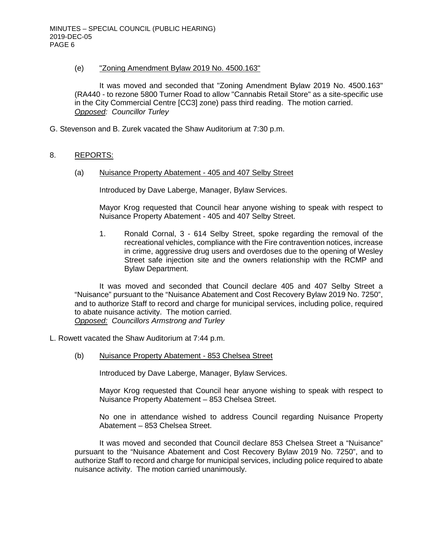## (e) "Zoning Amendment Bylaw 2019 No. 4500.163"

It was moved and seconded that "Zoning Amendment Bylaw 2019 No. 4500.163" (RA440 - to rezone 5800 Turner Road to allow "Cannabis Retail Store" as a site-specific use in the City Commercial Centre [CC3] zone) pass third reading. The motion carried. *Opposed: Councillor Turley*

G. Stevenson and B. Zurek vacated the Shaw Auditorium at 7:30 p.m.

# 8. REPORTS:

(a) Nuisance Property Abatement - 405 and 407 Selby Street

Introduced by Dave Laberge, Manager, Bylaw Services.

Mayor Krog requested that Council hear anyone wishing to speak with respect to Nuisance Property Abatement - 405 and 407 Selby Street.

1. Ronald Cornal, 3 - 614 Selby Street, spoke regarding the removal of the recreational vehicles, compliance with the Fire contravention notices, increase in crime, aggressive drug users and overdoses due to the opening of Wesley Street safe injection site and the owners relationship with the RCMP and Bylaw Department.

It was moved and seconded that Council declare 405 and 407 Selby Street a "Nuisance" pursuant to the "Nuisance Abatement and Cost Recovery Bylaw 2019 No. 7250", and to authorize Staff to record and charge for municipal services, including police, required to abate nuisance activity. The motion carried. *Opposed: Councillors Armstrong and Turley*

L. Rowett vacated the Shaw Auditorium at 7:44 p.m.

(b) Nuisance Property Abatement - 853 Chelsea Street

Introduced by Dave Laberge, Manager, Bylaw Services.

Mayor Krog requested that Council hear anyone wishing to speak with respect to Nuisance Property Abatement – 853 Chelsea Street.

No one in attendance wished to address Council regarding Nuisance Property Abatement – 853 Chelsea Street.

It was moved and seconded that Council declare 853 Chelsea Street a "Nuisance" pursuant to the "Nuisance Abatement and Cost Recovery Bylaw 2019 No. 7250", and to authorize Staff to record and charge for municipal services, including police required to abate nuisance activity. The motion carried unanimously.